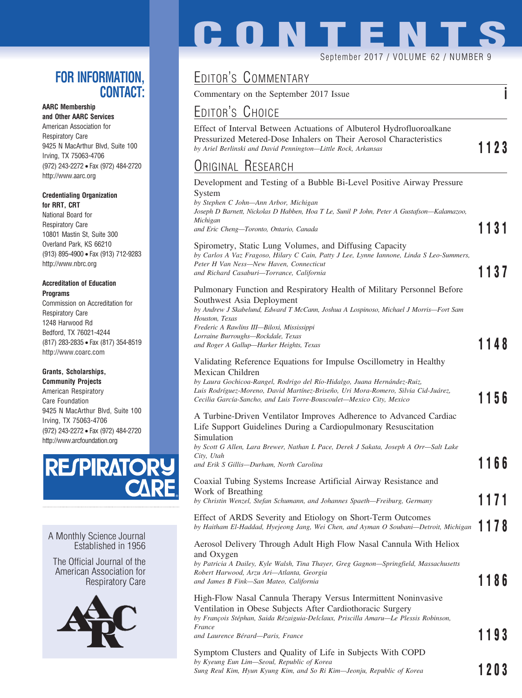### **FOR INFORMATION, CONTACT:**

#### **AARC Membership**

**and Other AARC Services** American Association for Respiratory Care 9425 N MacArthur Blvd, Suite 100 Irving, TX 75063-4706 (972) 243-2272 • Fax (972) 484-2720 http://www.aarc.org

#### **Credentialing Organization for RRT, CRT**

National Board for Respiratory Care 10801 Mastin St, Suite 300 Overland Park, KS 66210 (913) 895-4900 • Fax (913) 712-9283 http://www.nbrc.org

#### **Accreditation of Education Programs**

Commission on Accreditation for Respiratory Care 1248 Harwood Rd Bedford, TX 76021-4244 (817) 283-2835 • Fax (817) 354-8519 http://www.coarc.com

#### **Grants, Scholarships,**

**Community Projects** American Respiratory Care Foundation 9425 N MacArthur Blvd, Suite 100 Irving, TX 75063-4706 (972) 243-2272 • Fax (972) 484-2720 http://www.arcfoundation.org



A Monthly Science Journal Established in 1956

The Official Journal of the American Association for Respiratory Care



# **CONTENTS**

September 2017 / VOLUME 62 / NUMBER 9

# EDITOR'S COMMENTARY

Commentary on the September 2017 Issue **i**

## EDITOR'S CHOICE

Effect of Interval Between Actuations of Albuterol Hydrofluoroalkane Pressurized Metered-Dose Inhalers on Their Aerosol Characteristics *by Ariel Berlinski and David Pennington—Little Rock, Arkansas* **1123**

### <u>Original Research</u>

| Original Research                                                                                                                                                                                                                                                                                                                              |        |
|------------------------------------------------------------------------------------------------------------------------------------------------------------------------------------------------------------------------------------------------------------------------------------------------------------------------------------------------|--------|
| Development and Testing of a Bubble Bi-Level Positive Airway Pressure<br>System<br>by Stephen C John-Ann Arbor, Michigan<br>Joseph D Barnett, Nickolas D Habben, Hoa T Le, Sunil P John, Peter A Gustafson—Kalamazoo,<br>Michigan<br>and Eric Cheng-Toronto, Ontario, Canada                                                                   | 1131   |
| Spirometry, Static Lung Volumes, and Diffusing Capacity<br>by Carlos A Vaz Fragoso, Hilary C Cain, Patty J Lee, Lynne Iannone, Linda S Leo-Summers,<br>Peter H Van Ness-New Haven, Connecticut<br>and Richard Casaburi-Torrance, California                                                                                                    | 1137   |
| Pulmonary Function and Respiratory Health of Military Personnel Before<br>Southwest Asia Deployment<br>by Andrew J Skabelund, Edward T McCann, Joshua A Lospinoso, Michael J Morris-Fort Sam<br>Houston, Texas<br>Frederic A Rawlins III-Biloxi, Mississippi<br>Lorraine Burroughs-Rockdale, Texas<br>and Roger A Gallup-Harker Heights, Texas | 1148   |
| Validating Reference Equations for Impulse Oscillometry in Healthy<br>Mexican Children<br>by Laura Gochicoa-Rangel, Rodrigo del Río-Hidalgo, Juana Hernández-Ruiz,<br>Luis Rodríguez-Moreno, David Martínez-Briseño, Uri Mora-Romero, Silvia Cid-Juárez,<br>Cecilia García-Sancho, and Luis Torre-Bouscoulet—Mexico City, Mexico               | 1156   |
| A Turbine-Driven Ventilator Improves Adherence to Advanced Cardiac<br>Life Support Guidelines During a Cardiopulmonary Resuscitation<br>Simulation<br>by Scott G Allen, Lara Brewer, Nathan L Pace, Derek J Sakata, Joseph A Orr—Salt Lake<br>City, Utah<br>and Erik S Gillis—Durham, North Carolina                                           | 1166   |
| Coaxial Tubing Systems Increase Artificial Airway Resistance and<br>Work of Breathing<br>by Christin Wenzel, Stefan Schumann, and Johannes Spaeth-Freiburg, Germany                                                                                                                                                                            | 1171   |
| Effect of ARDS Severity and Etiology on Short-Term Outcomes<br>by Haitham El-Haddad, Hyejeong Jang, Wei Chen, and Ayman O Soubani—Detroit, Michigan $\begin{bmatrix} 1 & 1 & 1 \end{bmatrix}$                                                                                                                                                  |        |
| Aerosol Delivery Through Adult High Flow Nasal Cannula With Heliox<br>and Oxygen<br>by Patricia A Dailey, Kyle Walsh, Tina Thayer, Greg Gagnon-Springfield, Massachusetts<br>Robert Harwood, Arzu Ari-Atlanta, Georgia<br>and James B Fink—San Mateo, California                                                                               | 1186   |
| High-Flow Nasal Cannula Therapy Versus Intermittent Noninvasive<br>Ventilation in Obese Subjects After Cardiothoracic Surgery<br>by François Stéphan, Saida Rézaiguia-Delclaux, Priscilla Amaru-Le Plessis Robinson,<br>France                                                                                                                 | 44 A A |

*and Laurence Bérard—Paris, France* **1193** 

Symptom Clusters and Quality of Life in Subjects With COPD *by Kyeung Eun Lim—Seoul, Republic of Korea Sung Reul Kim, Hyun Kyung Kim, and So Ri Kim—Jeonju, Republic of Korea* **1203**